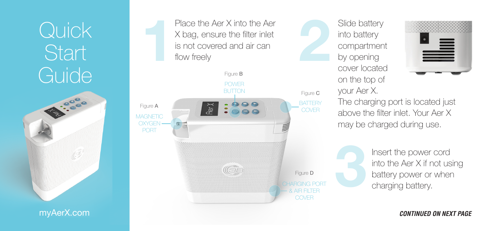## Quick<sub>1</sub> **Start** Guide



myAerX.com

Place the Aer X into the Aer X bag, ensure the filter inlet<br>is not covered and air can<br>flow freely<br>Figure B X bag, ensure the filter inlet is not covered and air can flow freely



Slide battery into battery compartment by opening cover located on the top of your Aer X. The charging port is located just above the filter inlet. Your Aer X may be charged during use.



**3**Insert the power cord<br>
into the Aer X if not us<br>
battery power or wher<br>
charging battery. into the Aer X if not using battery power or when charging battery.

*CONTINUED ON NEXT PAGE*